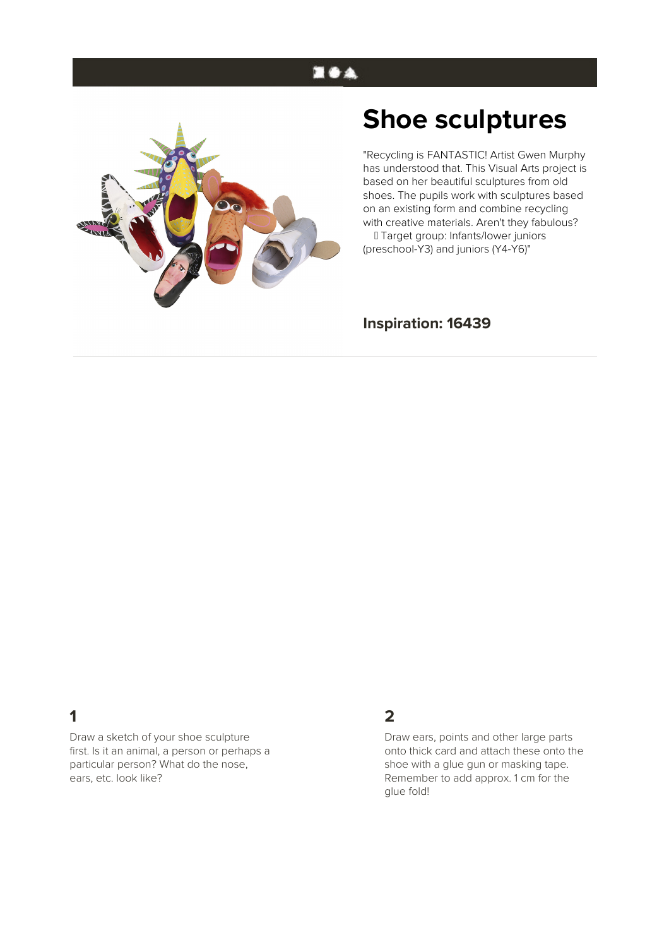# **EOA**



# **Shoe sculptures**

"Recycling is FANTASTIC! Artist Gwen Murphy has understood that. This Visual Arts project is based on her beautiful sculptures from old shoes. The pupils work with sculptures based on an existing form and combine recycling with creative materials. Aren't they fabulous?

 Target group: Infants/lower juniors (preschool-Y3) and juniors (Y4-Y6)"

#### **Inspiration: 16439**

## **1**

Draw a sketch of your shoe sculpture first. Is it an animal, a person or perhaps a particular person? What do the nose, ears, etc. look like?

#### **2**

Draw ears, points and other large parts onto thick card and attach these onto the shoe with a glue gun or masking tape. Remember to add approx. 1 cm for the glue fold!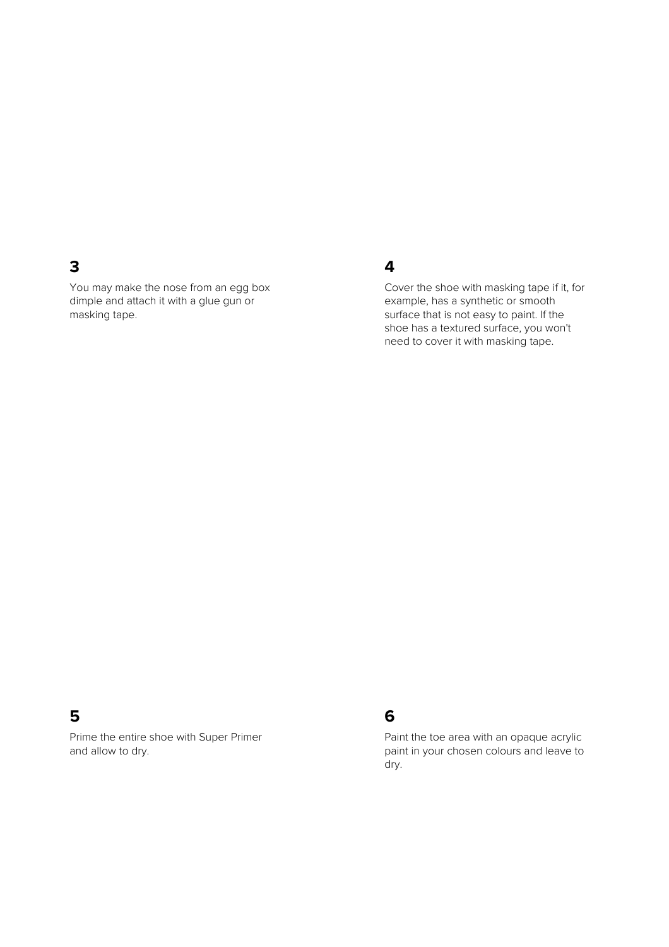#### **3**

You may make the nose from an egg box dimple and attach it with a glue gun or masking tape.

#### **4**

Cover the shoe with masking tape if it, for example, has a synthetic or smooth surface that is not easy to paint. If the shoe has a textured surface, you won't need to cover it with masking tape.

#### **5**

Prime the entire shoe with Super Primer and allow to dry.

## **6**

Paint the toe area with an opaque acrylic paint in your chosen colours and leave to dry.